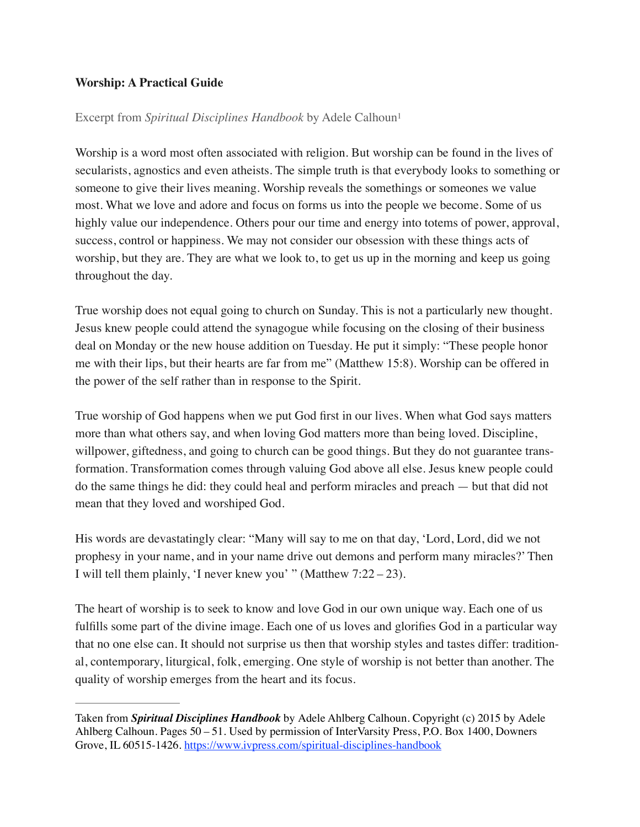## **Worship: A Practical Guide**

## Excerpt from *Spiritual Disciplines Handbook* by Adele Calhoun1

Worship is a word most often associated with religion. But worship can be found in the lives of secularists, agnostics and even atheists. The simple truth is that everybody looks to something or someone to give their lives meaning. Worship reveals the somethings or someones we value most. What we love and adore and focus on forms us into the people we become. Some of us highly value our independence. Others pour our time and energy into totems of power, approval, success, control or happiness. We may not consider our obsession with these things acts of worship, but they are. They are what we look to, to get us up in the morning and keep us going throughout the day.

True worship does not equal going to church on Sunday. This is not a particularly new thought. Jesus knew people could attend the synagogue while focusing on the closing of their business deal on Monday or the new house addition on Tuesday. He put it simply: "These people honor me with their lips, but their hearts are far from me" (Matthew 15:8). Worship can be offered in the power of the self rather than in response to the Spirit.

True worship of God happens when we put God first in our lives. When what God says matters more than what others say, and when loving God matters more than being loved. Discipline, willpower, giftedness, and going to church can be good things. But they do not guarantee transformation. Transformation comes through valuing God above all else. Jesus knew people could do the same things he did: they could heal and perform miracles and preach — but that did not mean that they loved and worshiped God.

His words are devastatingly clear: "Many will say to me on that day, 'Lord, Lord, did we not prophesy in your name, and in your name drive out demons and perform many miracles?' Then I will tell them plainly, 'I never knew you' " (Matthew 7:22 – 23).

The heart of worship is to seek to know and love God in our own unique way. Each one of us fulfills some part of the divine image. Each one of us loves and glorifies God in a particular way that no one else can. It should not surprise us then that worship styles and tastes differ: traditional, contemporary, liturgical, folk, emerging. One style of worship is not better than another. The quality of worship emerges from the heart and its focus.

Taken from *Spiritual Disciplines Handbook* by Adele Ahlberg Calhoun. Copyright (c) 2015 by Adele Ahlberg Calhoun. Pages 50 – 51. Used by permission of InterVarsity Press, P.O. Box 1400, Downers Grove, IL 60515-1426. <https://www.ivpress.com/spiritual-disciplines-handbook>